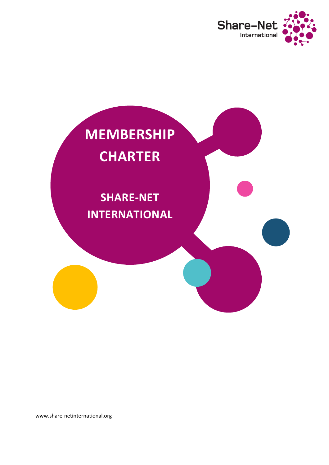



www.share-netinternational.org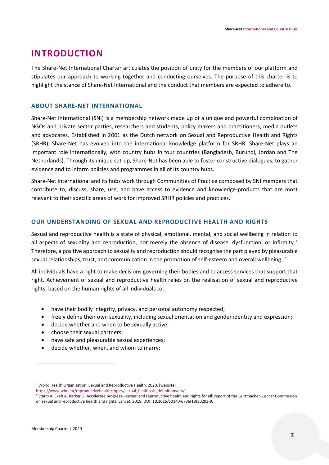## **INTRODUCTION**

The Share-Net International Charter articulates the position of unity for the members of our platform and stipulates our approach to working together and conducting ourselves. The purpose of this charter is to highlight the stance of Share-Net International and the conduct that members are expected to adhere to.

#### **ABOUT SHARE-NET INTERNATIONAL**

Share-Net International (SNI) is a membership network made up of a unique and powerful combination of NGOs and private sector parties, researchers and students, policy makers and practitioners, media outlets and advocates. Established in 2001 as the Dutch network on Sexual and Reproductive Health and Rights (SRHR), Share-Net has evolved into the international knowledge platform for SRHR. Share-Net plays an important role internationally, with country hubs in four countries (Bangladesh, Burundi, Jordan and The Netherlands). Through its unique set-up, Share-Net has been able to foster constructive dialogues, to gather evidence and to inform policies and programmes in all of its country hubs.

Share-Net International and its hubs work through Communities of Practice composed by SNI members that contribute to, discuss, share, use, and have access to evidence and knowledge-products that are most relevant to their specific areas of work for improved SRHR policies and practices.

### **OUR UNDERSTANDING OF SEXUAL AND REPRODUCTIVE HEALTH AND RIGHTS**

Sexual and reproductive health is a state of physical, emotional, mental, and social wellbeing in relation to all aspects of sexuality and reproduction, not merely the absence of disease, dysfunction, or infirmity.<sup>[1](#page-1-0)</sup> Therefore, a positive approach to sexuality and reproduction should recognise the part played by pleasurable sexual relationships, trust, and communication in the promotion of self-esteem and overall wellbeing. <sup>[2](#page-1-1)</sup>

All individuals have a right to make decisions governing their bodies and to access services that support that right. Achievement of sexual and reproductive health relies on the realisation of sexual and reproductive rights, based on the human rights of all individuals to:

- have their bodily integrity, privacy, and personal autonomy respected;
- freely define their own sexuality, including sexual orientation and gender identity and expression;
- decide whether and when to be sexually active;
- choose their sexual partners;
- have safe and pleasurable sexual experiences;
- decide whether, when, and whom to marry;

 $\overline{a}$ 

<span id="page-1-0"></span><sup>&</sup>lt;sup>1</sup> World Health Organisation, Sexual and Reproductive Health. 2020. [website]

[https://www.who.int/reproductivehealth/topics/sexual\\_health/sh\\_definitions/en/](https://www.who.int/reproductivehealth/topics/sexual_health/sh_definitions/en/)

<span id="page-1-1"></span><sup>2</sup> Starrs A, Exeh A, Barker G. Accelerate progress—sexual and reproductive health and rights for all: report of the Guttmacher–*Lancet* Commission on sexual and reproductive health and rights. Lancet. 2018. DOI: 10.1016/S0140-6736(18)30293-9.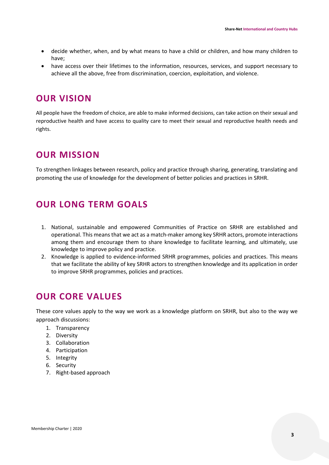- decide whether, when, and by what means to have a child or children, and how many children to have;
- have access over their lifetimes to the information, resources, services, and support necessary to achieve all the above, free from discrimination, coercion, exploitation, and violence.

# **OUR VISION**

All people have the freedom of choice, are able to make informed decisions, can take action on their sexual and reproductive health and have access to quality care to meet their sexual and reproductive health needs and rights.

# **OUR MISSION**

To strengthen linkages between research, policy and practice through sharing, generating, translating and promoting the use of knowledge for the development of better policies and practices in SRHR.

# **OUR LONG TERM GOALS**

- 1. National, sustainable and empowered Communities of Practice on SRHR are established and operational. This means that we act as a match-maker among key SRHR actors, promote interactions among them and encourage them to share knowledge to facilitate learning, and ultimately, use knowledge to improve policy and practice.
- 2. Knowledge is applied to evidence-informed SRHR programmes, policies and practices. This means that we facilitate the ability of key SRHR actors to strengthen knowledge and its application in order to improve SRHR programmes, policies and practices.

# **OUR CORE VALUES**

These core values apply to the way we work as a knowledge platform on SRHR, but also to the way we approach discussions:

- 1. Transparency
- 2. Diversity
- 3. Collaboration
- 4. Participation
- 5. Integrity
- 6. Security
- 7. Right-based approach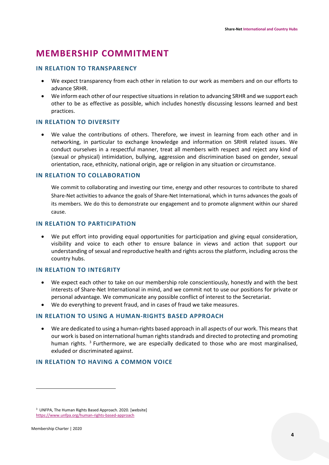# **MEMBERSHIP COMMITMENT**

### **IN RELATION TO TRANSPARENCY**

- We expect transparency from each other in relation to our work as members and on our efforts to advance SRHR.
- We inform each other of our respective situations in relation to advancing SRHR and we support each other to be as effective as possible, which includes honestly discussing lessons learned and best practices.

### **IN RELATION TO DIVERSITY**

• We value the contributions of others. Therefore, we invest in learning from each other and in networking, in particular to exchange knowledge and information on SRHR related issues. We conduct ourselves in a respectful manner, treat all members with respect and reject any kind of (sexual or physical) intimidation, bullying, aggression and discrimination based on gender, sexual orientation, race, ethnicity, national origin, age or religion in any situation or circumstance.

#### **IN RELATION TO COLLABORATION**

We commit to collaborating and investing our time, energy and other resources to contribute to shared Share-Net activities to advance the goals of Share-Net International, which in turns advances the goals of its members. We do this to demonstrate our engagement and to promote alignment within our shared cause.

#### **IN RELATION TO PARTICIPATION**

• We put effort into providing equal opportunities for participation and giving equal consideration, visibility and voice to each other to ensure balance in views and action that support our understanding of sexual and reproductive health and rights across the platform, including across the country hubs.

### **IN RELATION TO INTEGRITY**

- We expect each other to take on our membership role conscientiously, honestly and with the best interests of Share-Net International in mind, and we commit not to use our positions for private or personal advantage. We communicate any possible conflict of interest to the Secretariat.
- We do everything to prevent fraud, and in cases of fraud we take measures.

#### **IN RELATION TO USING A HUMAN-RIGHTS BASED APPROACH**

• We are dedicated to using a human-rights based approach in all aspects of our work. This means that our work is based on international human rights standrads and directed to protecting and promoting human rights.<sup>[3](#page-3-0)</sup> Furthermore, we are especially dedicated to those who are most marginalised, exluded or discriminated against.

#### **IN RELATION TO HAVING A COMMON VOICE**

 $\overline{a}$ 

<span id="page-3-0"></span><sup>3</sup> UNFPA, The Human Rights Based Approach. 2020. [website] <https://www.unfpa.org/human-rights-based-approach>